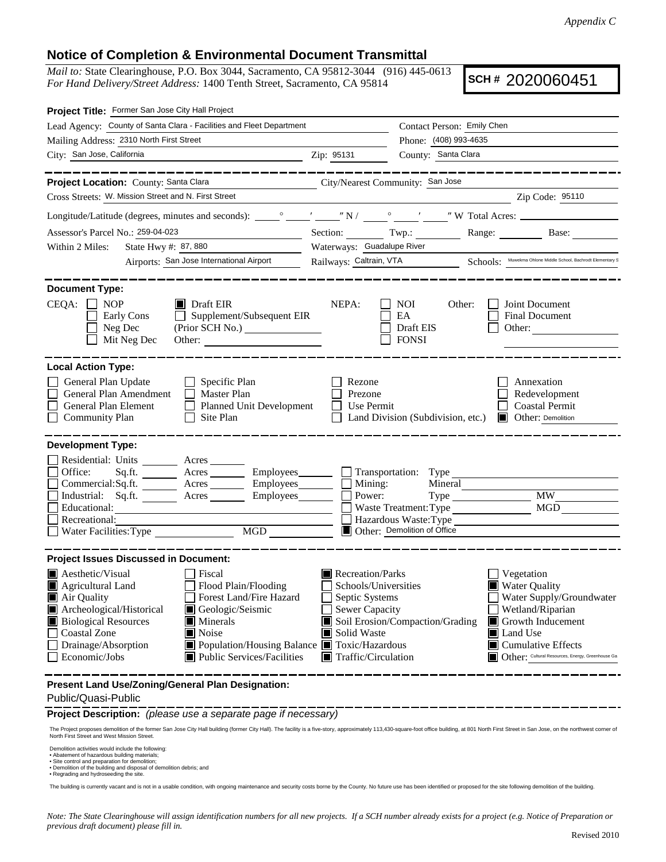## **Notice of Completion & Environmental Document Transmittal**

*Mail to:* State Clearinghouse, P.O. Box 3044, Sacramento, CA 95812-3044 (916) 445-0613 *For Hand Delivery/Street Address:* 1400 Tenth Street, Sacramento, CA 95814

**SCH #** 2020060451

| Project Title: Former San Jose City Hall Project                                               |                                                                                                                                                                                                                                |                                                          |                                        |         |                                                                                      |
|------------------------------------------------------------------------------------------------|--------------------------------------------------------------------------------------------------------------------------------------------------------------------------------------------------------------------------------|----------------------------------------------------------|----------------------------------------|---------|--------------------------------------------------------------------------------------|
|                                                                                                | Lead Agency: County of Santa Clara - Facilities and Fleet Department                                                                                                                                                           |                                                          | Contact Person: Emily Chen             |         |                                                                                      |
| Mailing Address: 2310 North First Street                                                       |                                                                                                                                                                                                                                | Phone: (408) 993-4635                                    |                                        |         |                                                                                      |
| City: San Jose, California                                                                     | $\chi$ 2.1p: 95131                                                                                                                                                                                                             |                                                          | County: Santa Clara                    |         |                                                                                      |
| Project Location: County: Santa Clara                                                          | City/Nearest Community: San Jose                                                                                                                                                                                               |                                                          |                                        |         | ________________                                                                     |
| Cross Streets: W. Mission Street and N. First Street                                           |                                                                                                                                                                                                                                |                                                          |                                        |         | Zip Code: 95110                                                                      |
|                                                                                                |                                                                                                                                                                                                                                |                                                          |                                        |         |                                                                                      |
| Assessor's Parcel No.: 259-04-023                                                              | Section: Twp.: Range: Base: Base:                                                                                                                                                                                              |                                                          |                                        |         |                                                                                      |
| Within 2 Miles:                                                                                | Waterways: Guadalupe River<br>State Hwy #: 87, 880                                                                                                                                                                             |                                                          |                                        |         |                                                                                      |
|                                                                                                | Airports: San Jose International Airport                                                                                                                                                                                       |                                                          |                                        |         | Railways: Caltrain, VTA Schools: Muwekma Ohlone Middle School, Bachrodt Elementary S |
| <b>Document Type:</b>                                                                          |                                                                                                                                                                                                                                |                                                          |                                        |         |                                                                                      |
| $CEQA: \Box NOP$<br>Early Cons<br>Neg Dec<br>Mit Neg Dec                                       | $\blacksquare$ Draft EIR<br>$\Box$ Supplement/Subsequent EIR<br>Other:                                                                                                                                                         | NEPA:                                                    | NOI<br>EA<br>Draft EIS<br><b>FONSI</b> | Other:  | Joint Document<br>Final Document<br>Other:                                           |
| <b>Local Action Type:</b>                                                                      |                                                                                                                                                                                                                                |                                                          |                                        |         |                                                                                      |
| General Plan Update<br>General Plan Amendment<br>General Plan Element<br><b>Community Plan</b> | $\Box$ Specific Plan<br>Master Plan<br>Planned Unit Development<br>Site Plan                                                                                                                                                   | Rezone<br>Prezone<br>Use Permit                          | Land Division (Subdivision, etc.)      |         | Annexation<br>Redevelopment<br><b>Coastal Permit</b><br><b>Other:</b> Demolition     |
| <b>Development Type:</b>                                                                       |                                                                                                                                                                                                                                |                                                          |                                        |         |                                                                                      |
| Residential: Units ________ Acres ______                                                       |                                                                                                                                                                                                                                |                                                          |                                        |         |                                                                                      |
| Office:                                                                                        | $Commercial:Sq.fit.$ Acres Employees Mining:                                                                                                                                                                                   |                                                          |                                        | Mineral |                                                                                      |
|                                                                                                | Industrial: Sq.ft. _______ Acres _______ Employees_______                                                                                                                                                                      | $\Box$ Power:                                            |                                        |         | <b>MW</b>                                                                            |
| Educational:                                                                                   |                                                                                                                                                                                                                                |                                                          | Waste Treatment: Type                  |         | MGD                                                                                  |
| Recreational:                                                                                  | MGD NG                                                                                                                                                                                                                         |                                                          | Hazardous Waste: Type                  |         |                                                                                      |
| $\Box$ Water Facilities: Type                                                                  |                                                                                                                                                                                                                                |                                                          | Other: Demolition of Office            |         |                                                                                      |
| <b>Project Issues Discussed in Document:</b>                                                   |                                                                                                                                                                                                                                |                                                          |                                        |         |                                                                                      |
| $\blacksquare$ Aesthetic/Visual                                                                | Fiscal                                                                                                                                                                                                                         | Recreation/Parks                                         |                                        |         | Vegetation                                                                           |
| П<br>Agricultural Land                                                                         | $\Box$ Flood Plain/Flooding                                                                                                                                                                                                    | Schools/Universities                                     |                                        |         | <b>Water Quality</b>                                                                 |
| Air Quality                                                                                    | Forest Land/Fire Hazard                                                                                                                                                                                                        | $\Box$ Septic Systems                                    |                                        |         | Water Supply/Groundwater                                                             |
| Archeological/Historical<br><b>Biological Resources</b>                                        | Geologic/Seismic<br>Minerals                                                                                                                                                                                                   | <b>Sewer Capacity</b><br>Soil Erosion/Compaction/Grading |                                        |         | Wetland/Riparian<br>Growth Inducement                                                |
| <b>Coastal Zone</b>                                                                            | Noise                                                                                                                                                                                                                          | Solid Waste                                              |                                        |         | Land Use                                                                             |
| Drainage/Absorption                                                                            | Population/Housing Balance ■ Toxic/Hazardous                                                                                                                                                                                   |                                                          |                                        |         | ■ Cumulative Effects                                                                 |
| Economic/Jobs                                                                                  | Public Services/Facilities                                                                                                                                                                                                     | $\blacksquare$ Traffic/Circulation                       |                                        |         | Other: Cultural Resources, Energy, Greenhouse Ga                                     |
| Present Land Use/Zoning/General Plan Designation:                                              |                                                                                                                                                                                                                                |                                                          |                                        |         |                                                                                      |
| Public/Quasi-Public                                                                            |                                                                                                                                                                                                                                |                                                          |                                        |         |                                                                                      |
|                                                                                                | Project Description: (please use a separate page if necessary)                                                                                                                                                                 |                                                          |                                        |         |                                                                                      |
| North First Street and West Mission Street.                                                    | The Project proposes demolition of the former San Jose City Hall building (former City Hall). The facility is a five-story, approximately 113,430-square-foot office building, at 801 North First Street in San Jose, on the n |                                                          |                                        |         |                                                                                      |
| Demolition activities would include the following:                                             |                                                                                                                                                                                                                                |                                                          |                                        |         |                                                                                      |

• Abatement of hazardous building materials;<br>• Site control and preparation for demolition;<br>• Demolition of the building and disposal of demolition debris; and<br>• Regrading and hydroseeding the site.

The building is currently vacant and is not in a usable condition, with ongoing maintenance and security costs borne by the County. No future use has been identified or proposed for the site following demolition of the bui

*Note: The State Clearinghouse will assign identification numbers for all new projects. If a SCH number already exists for a project (e.g. Notice of Preparation or previous draft document) please fill in.*